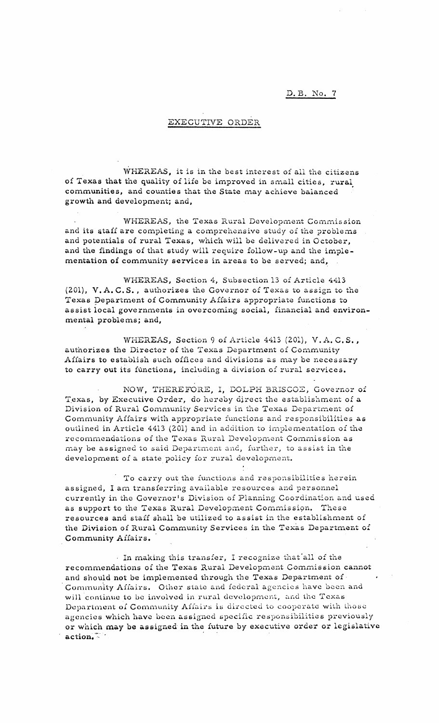## D. B. No. 7

## EXECUTIVE ORDER

WHEREAS, it is in the best interest of all the citizens of Texas that the quality of life be improved in small cities, rural communities, and counties that the State may achieve balanced • growth and development; and,

WHEREAS, the Texas Rural Development Commission and its staff are completing a comprehensive study of the problems and potentials of rural Texas, which will be delivered in October, and the findings of that study will require follow-up and the implementation of community services in areas to be served; and,

WHEREAS, Section 4, Subsection 13 of Article 4413 (201), V.A.C.S., authorizes the Governor of Texas to assign to the Texas pepartment of Community Affairs appropriate functions to assist local governments in overcoming social, financial and environmental problems; and,

WHEREAS, Section 9 of Article 4413 (201), V.A.C.S., authorizes the Director of the Texas Department of Community Affairs to establish such offices and divisions as may be necessary to carry out its functions, including a division of rural services.

NOW, THEREFORE, I, DOLPH BRISCOZ, Governor of Texas, by Executive Order, do hereby direct the establishment of a Division of Rural Community Services in the Texas Department of Community Affairs with appropriate functions and responsibilities as outlined in Article 4413 (201) and in addition to implementation of the recommendations of the Texas Rural Development Commission as may be assigned to said Department and, further, to assist in the development of a state policy for rural development.

. To carry out the functions and responsibilities herein assigned, I am transferring available resources and personnel currently in the Governor's Division of Planning Coordination and used as support to the Texas Rural Development Commission. These resources and staff shall be utilized to assist in the establishment of the Division of Rural Community Services in the Texas Department of Community Affairs•.

. In making this transfer, I recognize that'all of the recommendations of the Texas Rural Development Commission cannot and should not be implemented through the Texas Department of Community Affairs. Other state and federal agencies have been and will continue to be involved in rural development, and the Texas Department of Community Affairs is directed to cooperate with those agencies which have been assigned specific responsibilities previously or which may be assigned in the future by executive order or legislative action.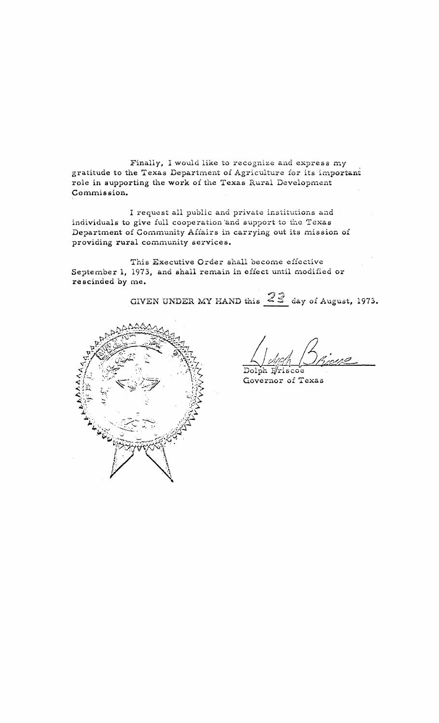Finally, I would like to recognize and express my gratitude to the Texas Department of Agriculture for its important role in supporting the work of the Texas Rural Development Commission.

I request all public and private institutions and individuals to give full cooperation 'and support to the Texas Department of Community Affairs in carrying out its mission of providing rural community services.

This Executive Order shall become effective September 1, 1973, and shall remain in effect until modified or rescinded by me.

GIVEN UNDER MY HAND this  $23$  day of August, 1973.



 $\sim$  , even  $\sim$  moment

Dolph Eriscoe Governor of Texas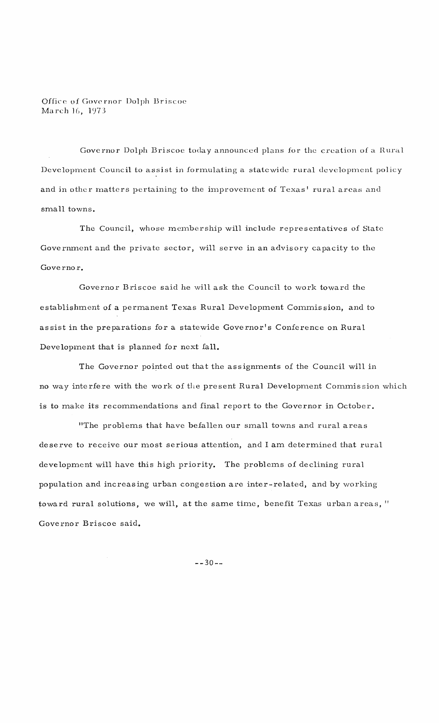Office of Governor Dolph Briscoe March 16, 1973

Governor Dolph Briscoe today announced plans for the creation of a Hural Development Council to assist in formulating a statewide rural development policy and in other matters pertaining to the improvement of Texas' rural areas and small towns.

The Council, whose membership will include representatives of State Government and the private sector, will serve in an advisory capacity to the Governor.

Governor Briscoe said he will ask the Council to work toward the establishment of a permanent Texas Rural Development Commission, and to assist in the preparations for a statewide Governor's Conference on Rural Development that is planned for next fall.

The Governor pointed out that the assignments of the Council will in no way interfere with the work of the present Rural Development Commission which is to make its recommendations and final report to the Governor in October.

"The problems that have befallen our small towns and rural areas deserve to receive our most serious attention, and I am determined that rural development will have this high priority. The problems of declining rural population and increasing urban congestion are inter-related, and by working toward rural solutions, we will, at the same time, benefit Texas urban areas, " Governor Briscoe said.

 $-- 30--$